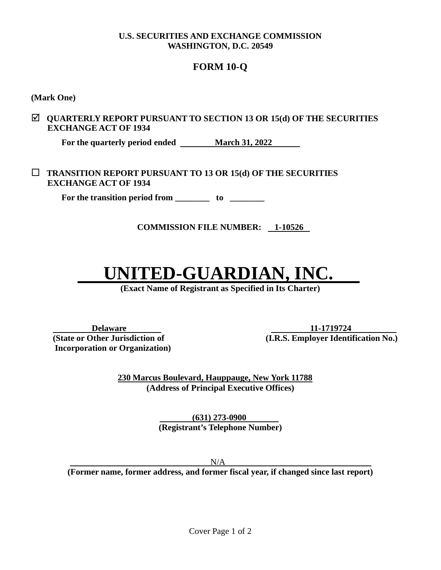#### **U.S. SECURITIES AND EXCHANGE COMMISSION WASHINGTON, D.C. 20549**

### **FORM 10-Q**

**(Mark One)**

#### **QUARTERLY REPORT PURSUANT TO SECTION 13 OR 15(d) OF THE SECURITIES EXCHANGE ACT OF 1934**

For the quarterly period ended <u>March 31, 2022</u>

 **TRANSITION REPORT PURSUANT TO 13 OR 15(d) OF THE SECURITIES EXCHANGE ACT OF 1934**

 **For the transition period from \_\_\_\_\_\_\_\_ to \_\_\_\_\_\_\_\_**

**COMMISSION FILE NUMBER: 1-10526**

# **UNITED-GUARDIAN, IN**

**(Exact Name of Registrant as Specified in Its Charter)**

 **Incorporation or Organization)**

**Delaware 11-1719724 (State or Other Jurisdiction of (I.R.S. Employer Identification No.)** 

> **230 Marcus Boulevard, Hauppauge, New York 11788 (Address of Principal Executive Offices)**

> > **(631) 273-0900 . (Registrant's Telephone Number)**

> > > $N/A$

**(Former name, former address, and former fiscal year, if changed since last report)**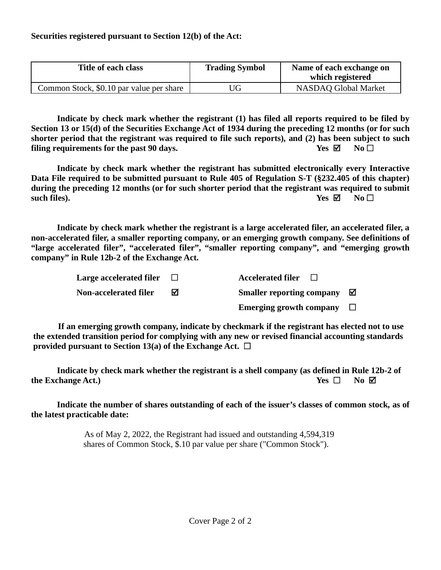| Title of each class                      | <b>Trading Symbol</b> | Name of each exchange on<br>which registered |
|------------------------------------------|-----------------------|----------------------------------------------|
| Common Stock, \$0.10 par value per share | 'JG                   | <b>NASDAQ Global Market</b>                  |

**Indicate by check mark whether the registrant (1) has filed all reports required to be filed by Section 13 or 15(d) of the Securities Exchange Act of 1934 during the preceding 12 months (or for such shorter period that the registrant was required to file such reports), and (2) has been subject to such filing requirements for the past 90 days. Yes**  $\boxtimes$  **No**  $\Box$ 

**Indicate by check mark whether the registrant has submitted electronically every Interactive Data File required to be submitted pursuant to Rule 405 of Regulation S-T (§232.405 of this chapter) during the preceding 12 months (or for such shorter period that the registrant was required to submit such files). Yes**  $\boxtimes$  **No**  $\Box$ 

**Indicate by check mark whether the registrant is a large accelerated filer, an accelerated filer, a non-accelerated filer, a smaller reporting company, or an emerging growth company. See definitions of "large accelerated filer", "accelerated filer", "smaller reporting company", and "emerging growth company" in Rule 12b-2 of the Exchange Act.**

| Large accelerated filer | <b>Accelerated filer</b>         |   |
|-------------------------|----------------------------------|---|
| Non-accelerated filer   | <b>Smaller reporting company</b> | ☑ |
|                         | Emerging growth company $\Box$   |   |

**If an emerging growth company, indicate by checkmark if the registrant has elected not to use the extended transition period for complying with any new or revised financial accounting standards provided pursuant to Section 13(a) of the Exchange Act.**  $\Box$ 

**Indicate by check mark whether the registrant is a shell company (as defined in Rule 12b-2 of the Exchange Act.) Yes No**

**Indicate the number of shares outstanding of each of the issuer's classes of common stock, as of the latest practicable date:**

> As of May 2, 2022, the Registrant had issued and outstanding 4,594,319 shares of Common Stock, \$.10 par value per share ("Common Stock").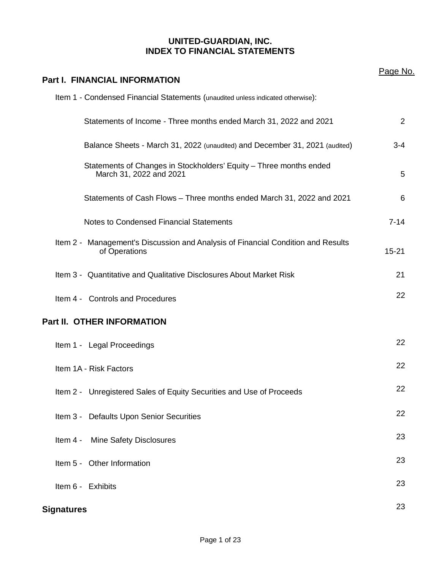#### **UNITED-GUARDIAN, INC. INDEX TO FINANCIAL STATEMENTS**

| <b>Part I. FINANCIAL INFORMATION</b>                                                              | Page No.  |
|---------------------------------------------------------------------------------------------------|-----------|
| Item 1 - Condensed Financial Statements (unaudited unless indicated otherwise):                   |           |
| Statements of Income - Three months ended March 31, 2022 and 2021                                 | 2         |
| Balance Sheets - March 31, 2022 (unaudited) and December 31, 2021 (audited)                       | $3 - 4$   |
| Statements of Changes in Stockholders' Equity - Three months ended<br>March 31, 2022 and 2021     | 5         |
| Statements of Cash Flows - Three months ended March 31, 2022 and 2021                             | 6         |
| Notes to Condensed Financial Statements                                                           | $7 - 14$  |
| Item 2 - Management's Discussion and Analysis of Financial Condition and Results<br>of Operations | $15 - 21$ |
| Item 3 - Quantitative and Qualitative Disclosures About Market Risk                               | 21        |
| Item 4 - Controls and Procedures                                                                  | 22        |
| Part II. OTHER INFORMATION                                                                        |           |
| Item 1 - Legal Proceedings                                                                        | 22        |
| Item 1A - Risk Factors                                                                            | 22        |
| Item 2 - Unregistered Sales of Equity Securities and Use of Proceeds                              | 22        |
| Item 3 - Defaults Upon Senior Securities                                                          | 22        |
| <b>Mine Safety Disclosures</b><br>Item 4 -                                                        | 23        |
| Item 5 - Other Information                                                                        | 23        |
| Item 6 - Exhibits                                                                                 | 23        |
| <b>Signatures</b>                                                                                 | 23        |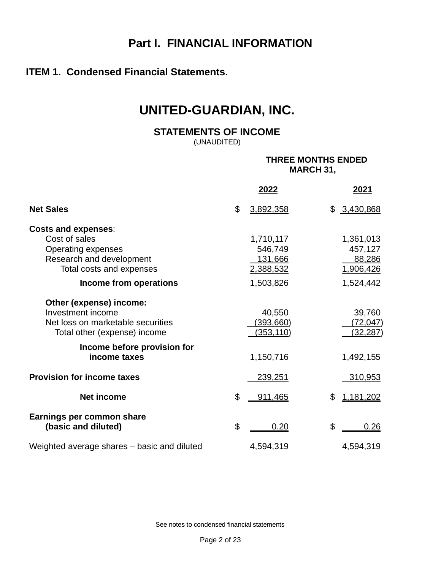## **Part I. FINANCIAL INFORMATION**

### **ITEM 1. Condensed Financial Statements.**

## **UNITED-GUARDIAN, INC.**

**STATEMENTS OF INCOME**

(UNAUDITED)

#### **THREE MONTHS ENDED MARCH 31,**

|                                             | 2022                        | 2021            |
|---------------------------------------------|-----------------------------|-----------------|
| <b>Net Sales</b>                            | $\mathfrak{S}$<br>3,892,358 | \$3,430,868     |
| <b>Costs and expenses:</b>                  |                             |                 |
| Cost of sales                               | 1,710,117                   | 1,361,013       |
| <b>Operating expenses</b>                   | 546,749                     | 457,127         |
| Research and development                    | <u>131,666</u>              | 88,286          |
| Total costs and expenses                    | 2,388,532                   | 1,906,426       |
| Income from operations                      | 1,503,826                   | 1,524,442       |
| Other (expense) income:                     |                             |                 |
| Investment income                           | 40,550                      | 39,760          |
| Net loss on marketable securities           | (393, 660)                  | (72, 047)       |
| Total other (expense) income                | <u>(353,110)</u>            | <u>(32,287)</u> |
| Income before provision for                 |                             |                 |
| income taxes                                | 1,150,716                   | 1,492,155       |
| <b>Provision for income taxes</b>           | <u>239,251</u>              | <u>310,953</u>  |
| <b>Net income</b>                           | \$<br>911,465               | \$<br>1,181,202 |
| Earnings per common share                   |                             |                 |
| (basic and diluted)                         | \$<br>0.20                  | \$<br>0.26      |
| Weighted average shares - basic and diluted | 4,594,319                   | 4,594,319       |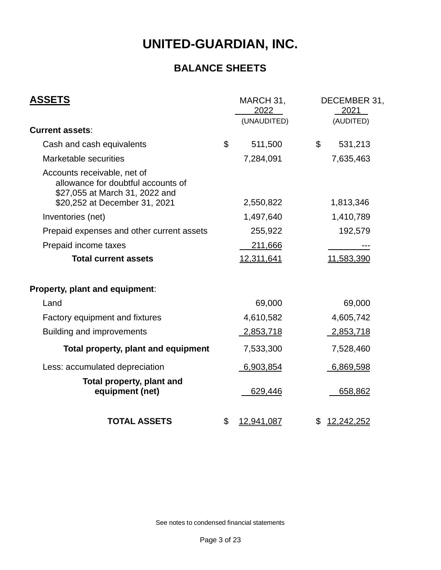## **BALANCE SHEETS**

| <b>ASSETS</b>                                                                                       | MARCH 31,<br>2022<br>(UNAUDITED) |                | DECEMBER 31,<br>2021<br>(AUDITED) |
|-----------------------------------------------------------------------------------------------------|----------------------------------|----------------|-----------------------------------|
| <b>Current assets:</b>                                                                              |                                  |                |                                   |
| Cash and cash equivalents                                                                           | \$<br>511,500                    | $\mathfrak{L}$ | 531,213                           |
| Marketable securities                                                                               | 7,284,091                        |                | 7,635,463                         |
| Accounts receivable, net of<br>allowance for doubtful accounts of<br>\$27,055 at March 31, 2022 and |                                  |                |                                   |
| \$20,252 at December 31, 2021                                                                       | 2,550,822                        |                | 1,813,346                         |
| Inventories (net)                                                                                   | 1,497,640                        |                | 1,410,789                         |
| Prepaid expenses and other current assets                                                           | 255,922                          |                | 192,579                           |
| Prepaid income taxes                                                                                | 211,666                          |                |                                   |
| <b>Total current assets</b>                                                                         | 12,311,641                       |                | 11,583,390                        |
| Property, plant and equipment:                                                                      |                                  |                |                                   |
| Land                                                                                                | 69,000                           |                | 69,000                            |
| Factory equipment and fixtures                                                                      | 4,610,582                        |                | 4,605,742                         |
| <b>Building and improvements</b>                                                                    | 2,853,718                        |                | 2,853,718                         |
| Total property, plant and equipment                                                                 | 7,533,300                        |                | 7,528,460                         |
| Less: accumulated depreciation                                                                      | 6,903,854                        |                | 6,869,598                         |
| Total property, plant and<br>equipment (net)                                                        | 629,446                          |                | 658,862                           |
| <b>TOTAL ASSETS</b>                                                                                 | \$<br>12,941,087                 | \$             | <u>12,242,252</u>                 |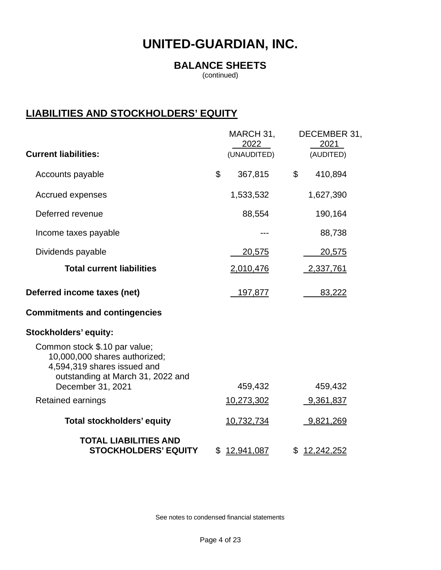### **BALANCE SHEETS**

(continued)

## **LIABILITIES AND STOCKHOLDERS' EQUITY**

|                                                                                                                                                         | MARCH 31,<br>2022 | DECEMBER 31,<br>2021    |
|---------------------------------------------------------------------------------------------------------------------------------------------------------|-------------------|-------------------------|
| <b>Current liabilities:</b>                                                                                                                             | (UNAUDITED)       | (AUDITED)               |
| Accounts payable                                                                                                                                        | \$<br>367,815     | \$<br>410,894           |
| Accrued expenses                                                                                                                                        | 1,533,532         | 1,627,390               |
| Deferred revenue                                                                                                                                        | 88,554            | 190,164                 |
| Income taxes payable                                                                                                                                    |                   | 88,738                  |
| Dividends payable                                                                                                                                       | 20,575            | 20,575                  |
| <b>Total current liabilities</b>                                                                                                                        | 2,010,476         | 2,337,761               |
| Deferred income taxes (net)                                                                                                                             | 197,877           | 83,222                  |
| <b>Commitments and contingencies</b>                                                                                                                    |                   |                         |
| Stockholders' equity:                                                                                                                                   |                   |                         |
| Common stock \$.10 par value;<br>10,000,000 shares authorized;<br>4,594,319 shares issued and<br>outstanding at March 31, 2022 and<br>December 31, 2021 | 459,432           | 459,432                 |
| Retained earnings                                                                                                                                       | 10,273,302        | 9,361,837               |
| <b>Total stockholders' equity</b>                                                                                                                       | 10,732,734        | 9,821,269               |
| <b>TOTAL LIABILITIES AND</b><br><b>STOCKHOLDERS' EQUITY</b>                                                                                             | \$<br>12,941,087  | \$<br><u>12,242,252</u> |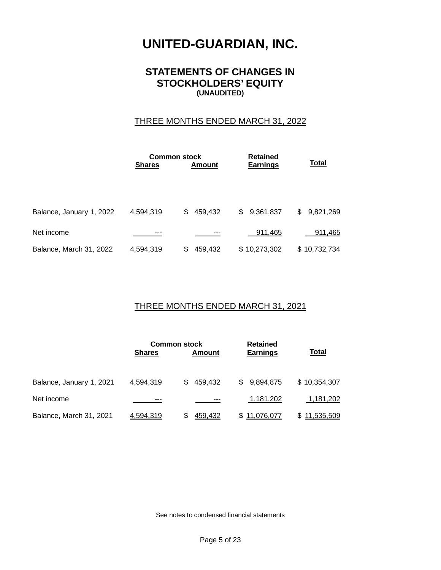#### **STATEMENTS OF CHANGES IN STOCKHOLDERS' EQUITY (UNAUDITED)**

#### THREE MONTHS ENDED MARCH 31, 2022

|                          |                  | <b>Common stock</b> |                 |                 |  |
|--------------------------|------------------|---------------------|-----------------|-----------------|--|
|                          | <b>Shares</b>    | <b>Amount</b>       | <b>Earnings</b> | <b>Total</b>    |  |
|                          |                  |                     |                 |                 |  |
|                          |                  |                     |                 |                 |  |
|                          |                  |                     |                 |                 |  |
| Balance, January 1, 2022 | 4,594,319        | 459,432<br>\$       | \$9,361,837     | 9,821,269<br>\$ |  |
|                          |                  |                     |                 |                 |  |
| Net income               | ---              |                     | 911,465         | 911,465         |  |
| Balance, March 31, 2022  | <u>4,594,319</u> | 459,432<br>S        | \$10,273,302    | \$10,732,734    |  |
|                          |                  |                     |                 |                 |  |

#### THREE MONTHS ENDED MARCH 31, 2021

| <b>Shares</b>            |           | <b>Common stock</b><br>Amount |                | <b>Total</b>    |
|--------------------------|-----------|-------------------------------|----------------|-----------------|
| Balance, January 1, 2021 | 4,594,319 | 459.432<br>S.                 | 9,894,875<br>S | \$10,354,307    |
| Net income               | ---       | $--$                          | 1,181,202      | 1,181,202       |
| Balance, March 31, 2021  | 4.594.319 | <u>459.432</u>                | 11.076.077     | 11,535,509<br>S |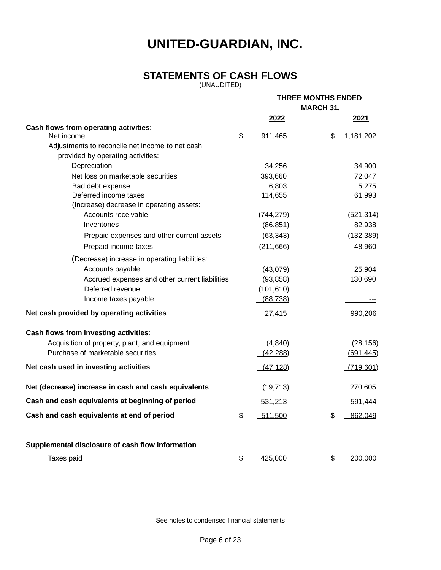### **STATEMENTS OF CASH FLOWS**

(UNAUDITED)

|                                                      |                           | <b>THREE MONTHS ENDED</b><br><b>MARCH 31,</b> |    |            |
|------------------------------------------------------|---------------------------|-----------------------------------------------|----|------------|
|                                                      |                           | 2022                                          |    | 2021       |
| Cash flows from operating activities:                |                           |                                               |    |            |
| Net income                                           | $\boldsymbol{\mathsf{S}}$ | 911,465                                       | \$ | 1,181,202  |
| Adjustments to reconcile net income to net cash      |                           |                                               |    |            |
| provided by operating activities:                    |                           |                                               |    |            |
| Depreciation                                         |                           | 34,256                                        |    | 34,900     |
| Net loss on marketable securities                    |                           | 393,660                                       |    | 72,047     |
| Bad debt expense                                     |                           | 6,803                                         |    | 5,275      |
| Deferred income taxes                                |                           | 114,655                                       |    | 61,993     |
| (Increase) decrease in operating assets:             |                           |                                               |    |            |
| Accounts receivable                                  |                           | (744, 279)                                    |    | (521, 314) |
| Inventories                                          |                           | (86, 851)                                     |    | 82,938     |
| Prepaid expenses and other current assets            |                           | (63, 343)                                     |    | (132, 389) |
| Prepaid income taxes                                 |                           | (211, 666)                                    |    | 48,960     |
| (Decrease) increase in operating liabilities:        |                           |                                               |    |            |
| Accounts payable                                     |                           | (43,079)                                      |    | 25,904     |
| Accrued expenses and other current liabilities       |                           | (93, 858)                                     |    | 130,690    |
| Deferred revenue                                     |                           | (101, 610)                                    |    |            |
| Income taxes payable                                 |                           | (88, 738)                                     |    |            |
| Net cash provided by operating activities            |                           | 27,415                                        |    | 990,206    |
| Cash flows from investing activities:                |                           |                                               |    |            |
| Acquisition of property, plant, and equipment        |                           | (4, 840)                                      |    | (28, 156)  |
| Purchase of marketable securities                    |                           | (42, 288)                                     |    | (691, 445) |
| Net cash used in investing activities                |                           | (47, 128)                                     |    | (719, 601) |
| Net (decrease) increase in cash and cash equivalents |                           | (19, 713)                                     |    | 270,605    |
| Cash and cash equivalents at beginning of period     |                           | <u>531,213</u>                                |    | 591,444    |
| Cash and cash equivalents at end of period           | \$                        | 511,500                                       | \$ | 862,049    |
| Supplemental disclosure of cash flow information     |                           |                                               |    |            |
|                                                      | \$                        | 425,000                                       | \$ | 200,000    |
| Taxes paid                                           |                           |                                               |    |            |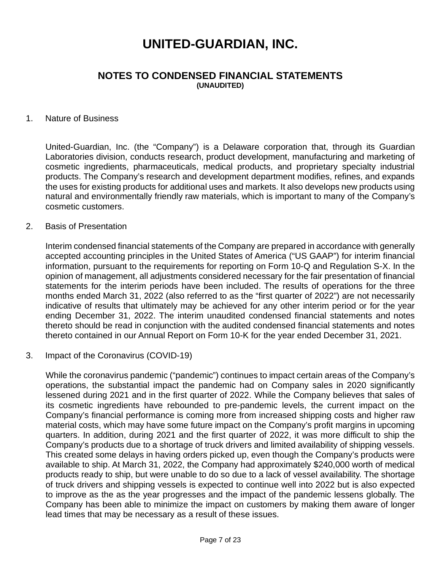#### **NOTES TO CONDENSED FINANCIAL STATEMENTS (UNAUDITED)**

#### 1. Nature of Business

United-Guardian, Inc. (the "Company") is a Delaware corporation that, through its Guardian Laboratories division, conducts research, product development, manufacturing and marketing of cosmetic ingredients, pharmaceuticals, medical products, and proprietary specialty industrial products. The Company's research and development department modifies, refines, and expands the uses for existing products for additional uses and markets. It also develops new products using natural and environmentally friendly raw materials, which is important to many of the Company's cosmetic customers.

#### 2. Basis of Presentation

Interim condensed financial statements of the Company are prepared in accordance with generally accepted accounting principles in the United States of America ("US GAAP") for interim financial information, pursuant to the requirements for reporting on Form 10-Q and Regulation S-X. In the opinion of management, all adjustments considered necessary for the fair presentation of financial statements for the interim periods have been included. The results of operations for the three months ended March 31, 2022 (also referred to as the "first quarter of 2022") are not necessarily indicative of results that ultimately may be achieved for any other interim period or for the year ending December 31, 2022. The interim unaudited condensed financial statements and notes thereto should be read in conjunction with the audited condensed financial statements and notes thereto contained in our Annual Report on Form 10-K for the year ended December 31, 2021.

#### 3. Impact of the Coronavirus (COVID-19)

While the coronavirus pandemic ("pandemic") continues to impact certain areas of the Company's operations, the substantial impact the pandemic had on Company sales in 2020 significantly lessened during 2021 and in the first quarter of 2022. While the Company believes that sales of its cosmetic ingredients have rebounded to pre-pandemic levels, the current impact on the Company's financial performance is coming more from increased shipping costs and higher raw material costs, which may have some future impact on the Company's profit margins in upcoming quarters. In addition, during 2021 and the first quarter of 2022, it was more difficult to ship the Company's products due to a shortage of truck drivers and limited availability of shipping vessels. This created some delays in having orders picked up, even though the Company's products were available to ship. At March 31, 2022, the Company had approximately \$240,000 worth of medical products ready to ship, but were unable to do so due to a lack of vessel availability. The shortage of truck drivers and shipping vessels is expected to continue well into 2022 but is also expected to improve as the as the year progresses and the impact of the pandemic lessens globally. The Company has been able to minimize the impact on customers by making them aware of longer lead times that may be necessary as a result of these issues.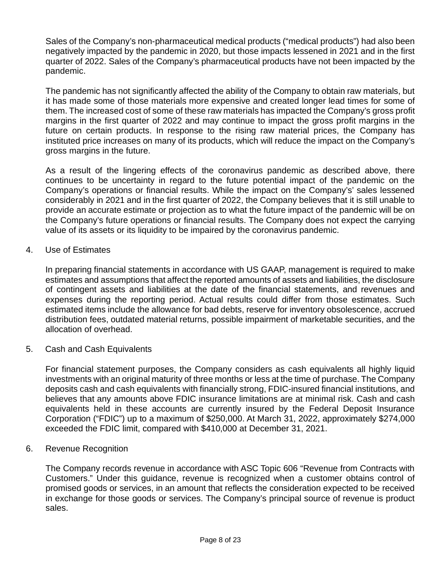Sales of the Company's non-pharmaceutical medical products ("medical products") had also been negatively impacted by the pandemic in 2020, but those impacts lessened in 2021 and in the first quarter of 2022. Sales of the Company's pharmaceutical products have not been impacted by the pandemic.

The pandemic has not significantly affected the ability of the Company to obtain raw materials, but it has made some of those materials more expensive and created longer lead times for some of them. The increased cost of some of these raw materials has impacted the Company's gross profit margins in the first quarter of 2022 and may continue to impact the gross profit margins in the future on certain products. In response to the rising raw material prices, the Company has instituted price increases on many of its products, which will reduce the impact on the Company's gross margins in the future.

As a result of the lingering effects of the coronavirus pandemic as described above, there continues to be uncertainty in regard to the future potential impact of the pandemic on the Company's operations or financial results. While the impact on the Company's' sales lessened considerably in 2021 and in the first quarter of 2022, the Company believes that it is still unable to provide an accurate estimate or projection as to what the future impact of the pandemic will be on the Company's future operations or financial results. The Company does not expect the carrying value of its assets or its liquidity to be impaired by the coronavirus pandemic.

#### 4. Use of Estimates

In preparing financial statements in accordance with US GAAP, management is required to make estimates and assumptions that affect the reported amounts of assets and liabilities, the disclosure of contingent assets and liabilities at the date of the financial statements, and revenues and expenses during the reporting period. Actual results could differ from those estimates. Such estimated items include the allowance for bad debts, reserve for inventory obsolescence, accrued distribution fees, outdated material returns, possible impairment of marketable securities, and the allocation of overhead.

5. Cash and Cash Equivalents

For financial statement purposes, the Company considers as cash equivalents all highly liquid investments with an original maturity of three months or less at the time of purchase. The Company deposits cash and cash equivalents with financially strong, FDIC-insured financial institutions, and believes that any amounts above FDIC insurance limitations are at minimal risk. Cash and cash equivalents held in these accounts are currently insured by the Federal Deposit Insurance Corporation ("FDIC") up to a maximum of \$250,000. At March 31, 2022, approximately \$274,000 exceeded the FDIC limit, compared with \$410,000 at December 31, 2021.

#### 6. Revenue Recognition

The Company records revenue in accordance with ASC Topic 606 "Revenue from Contracts with Customers." Under this guidance, revenue is recognized when a customer obtains control of promised goods or services, in an amount that reflects the consideration expected to be received in exchange for those goods or services. The Company's principal source of revenue is product sales.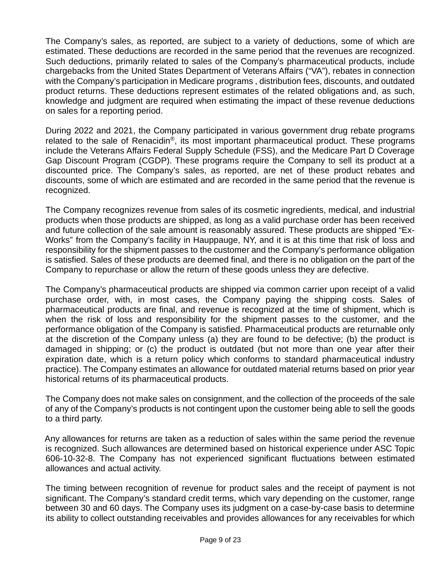The Company's sales, as reported, are subject to a variety of deductions, some of which are estimated. These deductions are recorded in the same period that the revenues are recognized. Such deductions, primarily related to sales of the Company's pharmaceutical products, include chargebacks from the United States Department of Veterans Affairs ("VA"), rebates in connection with the Company's participation in Medicare programs , distribution fees, discounts, and outdated product returns. These deductions represent estimates of the related obligations and, as such, knowledge and judgment are required when estimating the impact of these revenue deductions on sales for a reporting period.

During 2022 and 2021, the Company participated in various government drug rebate programs related to the sale of Renacidin®, its most important pharmaceutical product. These programs include the Veterans Affairs Federal Supply Schedule (FSS), and the Medicare Part D Coverage Gap Discount Program (CGDP). These programs require the Company to sell its product at a discounted price. The Company's sales, as reported, are net of these product rebates and discounts, some of which are estimated and are recorded in the same period that the revenue is recognized.

The Company recognizes revenue from sales of its cosmetic ingredients, medical, and industrial products when those products are shipped, as long as a valid purchase order has been received and future collection of the sale amount is reasonably assured. These products are shipped "Ex-Works" from the Company's facility in Hauppauge, NY, and it is at this time that risk of loss and responsibility for the shipment passes to the customer and the Company's performance obligation is satisfied. Sales of these products are deemed final, and there is no obligation on the part of the Company to repurchase or allow the return of these goods unless they are defective.

The Company's pharmaceutical products are shipped via common carrier upon receipt of a valid purchase order, with, in most cases, the Company paying the shipping costs. Sales of pharmaceutical products are final, and revenue is recognized at the time of shipment, which is when the risk of loss and responsibility for the shipment passes to the customer, and the performance obligation of the Company is satisfied. Pharmaceutical products are returnable only at the discretion of the Company unless (a) they are found to be defective; (b) the product is damaged in shipping; or (c) the product is outdated (but not more than one year after their expiration date, which is a return policy which conforms to standard pharmaceutical industry practice). The Company estimates an allowance for outdated material returns based on prior year historical returns of its pharmaceutical products.

The Company does not make sales on consignment, and the collection of the proceeds of the sale of any of the Company's products is not contingent upon the customer being able to sell the goods to a third party.

 Any allowances for returns are taken as a reduction of sales within the same period the revenue is recognized. Such allowances are determined based on historical experience under ASC Topic 606-10-32-8. The Company has not experienced significant fluctuations between estimated allowances and actual activity.

The timing between recognition of revenue for product sales and the receipt of payment is not significant. The Company's standard credit terms, which vary depending on the customer, range between 30 and 60 days. The Company uses its judgment on a case-by-case basis to determine its ability to collect outstanding receivables and provides allowances for any receivables for which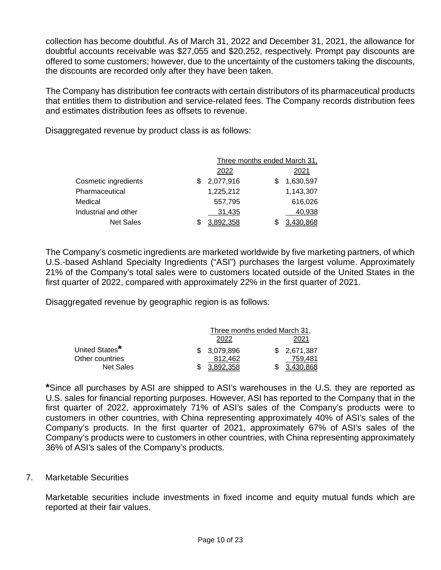collection has become doubtful. As of March 31, 2022 and December 31, 2021, the allowance for doubtful accounts receivable was \$27,055 and \$20,252, respectively. Prompt pay discounts are offered to some customers; however, due to the uncertainty of the customers taking the discounts, the discounts are recorded only after they have been taken.

The Company has distribution fee contracts with certain distributors of its pharmaceutical products that entitles them to distribution and service-related fees. The Company records distribution fees and estimates distribution fees as offsets to revenue.

Disaggregated revenue by product class is as follows:

|                      |   | Three months ended March 31, |  |           |
|----------------------|---|------------------------------|--|-----------|
|                      |   | 2022                         |  | 2021      |
| Cosmetic ingredients | S | 2,077,916                    |  | 1,630,597 |
| Pharmaceutical       |   | 1,225,212                    |  | 1,143,307 |
| Medical              |   | 557,795                      |  | 616,026   |
| Industrial and other |   | 31,435                       |  | 40,938    |
| <b>Net Sales</b>     |   | 3.892.358                    |  | .430.868  |

The Company's cosmetic ingredients are marketed worldwide by five marketing partners, of which U.S.-based Ashland Specialty Ingredients ("ASI") purchases the largest volume. Approximately 21% of the Company's total sales were to customers located outside of the United States in the first quarter of 2022, compared with approximately 22% in the first quarter of 2021.

Disaggregated revenue by geographic region is as follows:

|                  | Three months ended March 31, |              |  |              |
|------------------|------------------------------|--------------|--|--------------|
|                  |                              | 2022         |  | 2021         |
| United States*   |                              | \$ 3.079.896 |  | \$ 2.671.387 |
| Other countries  |                              | 812.462      |  | 759.481      |
| <b>Net Sales</b> |                              | 3.892.358    |  | 3.430.868    |

**\***Since all purchases by ASI are shipped to ASI's warehouses in the U.S. they are reported as U.S. sales for financial reporting purposes. However, ASI has reported to the Company that in the first quarter of 2022, approximately 71% of ASI's sales of the Company's products were to customers in other countries, with China representing approximately 40% of ASI's sales of the Company's products. In the first quarter of 2021, approximately 67% of ASI's sales of the Company's products were to customers in other countries, with China representing approximately 36% of ASI's sales of the Company's products.

#### 7. Marketable Securities

Marketable securities include investments in fixed income and equity mutual funds which are reported at their fair values.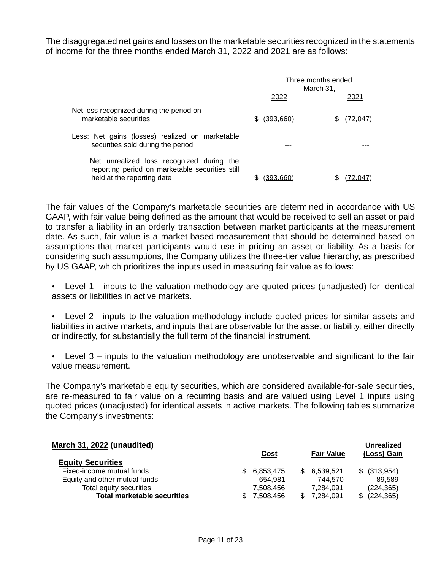The disaggregated net gains and losses on the marketable securities recognized in the statements of income for the three months ended March 31, 2022 and 2021 are as follows:

|                                                                                                                            | Three months ended<br>March 31, |                |  |
|----------------------------------------------------------------------------------------------------------------------------|---------------------------------|----------------|--|
|                                                                                                                            | 2022                            | 2021           |  |
| Net loss recognized during the period on<br>marketable securities                                                          | (393,660)<br>SS.                | (72, 047)<br>S |  |
| Less: Net gains (losses) realized on marketable<br>securities sold during the period                                       |                                 |                |  |
| Net unrealized loss recognized during the<br>reporting period on marketable securities still<br>held at the reporting date |                                 |                |  |

The fair values of the Company's marketable securities are determined in accordance with US GAAP, with fair value being defined as the amount that would be received to sell an asset or paid to transfer a liability in an orderly transaction between market participants at the measurement date. As such, fair value is a market-based measurement that should be determined based on assumptions that market participants would use in pricing an asset or liability. As a basis for considering such assumptions, the Company utilizes the three-tier value hierarchy, as prescribed by US GAAP, which prioritizes the inputs used in measuring fair value as follows:

- Level 1 inputs to the valuation methodology are quoted prices (unadjusted) for identical assets or liabilities in active markets.
- Level 2 inputs to the valuation methodology include quoted prices for similar assets and liabilities in active markets, and inputs that are observable for the asset or liability, either directly or indirectly, for substantially the full term of the financial instrument.
- Level  $3$  inputs to the valuation methodology are unobservable and significant to the fair value measurement.

The Company's marketable equity securities, which are considered available-for-sale securities, are re-measured to fair value on a recurring basis and are valued using Level 1 inputs using quoted prices (unadjusted) for identical assets in active markets. The following tables summarize the Company's investments:

| March 31, 2022 (unaudited)         |     |                 |     |                   | Unrealized       |
|------------------------------------|-----|-----------------|-----|-------------------|------------------|
|                                    |     | <b>Cost</b>     |     | <b>Fair Value</b> | (Loss) Gain      |
| <b>Equity Securities</b>           |     |                 |     |                   |                  |
| Fixed-income mutual funds          | SS. | 6,853,475       | \$. | 6,539,521         | $$$ (313,954)    |
| Equity and other mutual funds      |     | 654,981         |     | 744.570           | 89,589           |
| Total equity securities            |     | 7,508,456       |     | 7,284,091         | (224, 365)       |
| <b>Total marketable securities</b> |     | <u>.508.456</u> |     | <u>.284.091</u>   | <u>(224,365)</u> |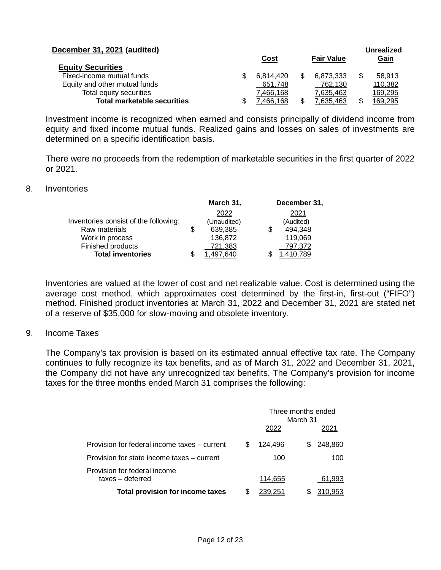| December 31, 2021 (audited)        |           |                   | Unrealized    |
|------------------------------------|-----------|-------------------|---------------|
|                                    | Cost      | <b>Fair Value</b> | Gain          |
| <b>Equity Securities</b>           |           |                   |               |
| Fixed-income mutual funds          | 6.814.420 | 6.873.333         | 58.913        |
| Equity and other mutual funds      | 651,748   | 762,130           | 110,382       |
| Total equity securities            | 7.466.168 | 7,635,463         | 169,295       |
| <b>Total marketable securities</b> | 7.466.168 | 7.635,463         | \$<br>169,295 |

Investment income is recognized when earned and consists principally of dividend income from equity and fixed income mutual funds. Realized gains and losses on sales of investments are determined on a specific identification basis.

There were no proceeds from the redemption of marketable securities in the first quarter of 2022 or 2021.

#### 8. Inventories

|                                       | March 31,     |  | December 31, |  |  |
|---------------------------------------|---------------|--|--------------|--|--|
|                                       | 2022          |  | 2021         |  |  |
| Inventories consist of the following: | (Unaudited)   |  | (Audited)    |  |  |
| Raw materials                         | \$<br>639,385 |  | 494,348      |  |  |
| Work in process                       | 136,872       |  | 119,069      |  |  |
| Finished products                     | 721,383       |  | 797,372      |  |  |
| <b>Total inventories</b>              | .497.640      |  | .410.789     |  |  |

Inventories are valued at the lower of cost and net realizable value. Cost is determined using the average cost method, which approximates cost determined by the first-in, first-out ("FIFO") method. Finished product inventories at March 31, 2022 and December 31, 2021 are stated net of a reserve of \$35,000 for slow-moving and obsolete inventory.

#### 9. Income Taxes

 The Company's tax provision is based on its estimated annual effective tax rate. The Company continues to fully recognize its tax benefits, and as of March 31, 2022 and December 31, 2021, the Company did not have any unrecognized tax benefits. The Company's provision for income taxes for the three months ended March 31 comprises the following:

|                                                  |  |         |    | Three months ended<br>March 31<br>2021 |  |
|--------------------------------------------------|--|---------|----|----------------------------------------|--|
| Provision for federal income taxes – current     |  | 124,496 | S. | 248,860                                |  |
| Provision for state income taxes – current       |  | 100     |    | 100                                    |  |
| Provision for federal income<br>taxes - deferred |  | 114,655 |    | 61,993                                 |  |
| <b>Total provision for income taxes</b>          |  | 239.251 | 2  | 310,953                                |  |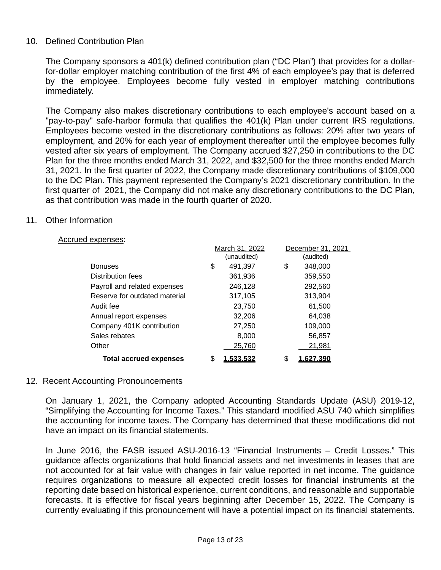#### 10. Defined Contribution Plan

The Company sponsors a 401(k) defined contribution plan ("DC Plan") that provides for a dollarfor-dollar employer matching contribution of the first 4% of each employee's pay that is deferred by the employee. Employees become fully vested in employer matching contributions immediately.

The Company also makes discretionary contributions to each employee's account based on a "pay-to-pay" safe-harbor formula that qualifies the 401(k) Plan under current IRS regulations. Employees become vested in the discretionary contributions as follows: 20% after two years of employment, and 20% for each year of employment thereafter until the employee becomes fully vested after six years of employment. The Company accrued \$27,250 in contributions to the DC Plan for the three months ended March 31, 2022, and \$32,500 for the three months ended March 31, 2021. In the first quarter of 2022, the Company made discretionary contributions of \$109,000 to the DC Plan. This payment represented the Company's 2021 discretionary contribution. In the first quarter of 2021, the Company did not make any discretionary contributions to the DC Plan, as that contribution was made in the fourth quarter of 2020.

#### 11. Other Information

#### Accrued expenses:

|                               | March 31, 2022  |    | December 31, 2021 |  |  |
|-------------------------------|-----------------|----|-------------------|--|--|
|                               | (unaudited)     |    | (audited)         |  |  |
| <b>Bonuses</b>                | \$<br>491,397   | \$ | 348,000           |  |  |
| Distribution fees             | 361,936         |    | 359,550           |  |  |
| Payroll and related expenses  | 246,128         |    | 292,560           |  |  |
| Reserve for outdated material | 317,105         |    | 313,904           |  |  |
| Audit fee                     | 23,750          |    | 61,500            |  |  |
| Annual report expenses        | 32,206          |    | 64,038            |  |  |
| Company 401K contribution     | 27,250          |    | 109,000           |  |  |
| Sales rebates                 | 8,000           |    | 56,857            |  |  |
| Other                         | 25,760          |    | 21,981            |  |  |
| <b>Total accrued expenses</b> | \$<br>1.533.532 | \$ | 1.627.390         |  |  |

#### 12. Recent Accounting Pronouncements

On January 1, 2021, the Company adopted Accounting Standards Update (ASU) 2019-12, "Simplifying the Accounting for Income Taxes." This standard modified ASU 740 which simplifies the accounting for income taxes. The Company has determined that these modifications did not have an impact on its financial statements.

In June 2016, the FASB issued ASU-2016-13 "Financial Instruments – Credit Losses." This guidance affects organizations that hold financial assets and net investments in leases that are not accounted for at fair value with changes in fair value reported in net income. The guidance requires organizations to measure all expected credit losses for financial instruments at the reporting date based on historical experience, current conditions, and reasonable and supportable forecasts. It is effective for fiscal years beginning after December 15, 2022. The Company is currently evaluating if this pronouncement will have a potential impact on its financial statements.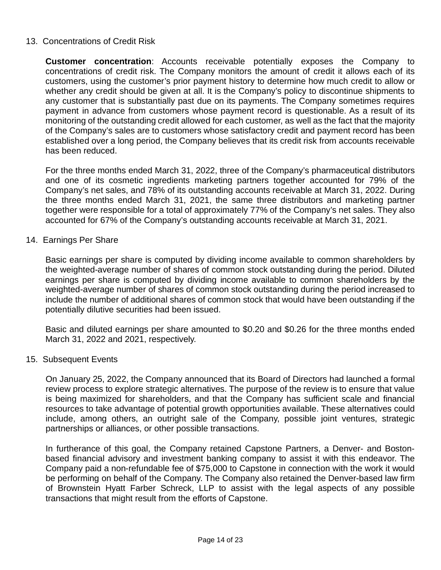#### 13. Concentrations of Credit Risk

**Customer concentration**: Accounts receivable potentially exposes the Company to concentrations of credit risk. The Company monitors the amount of credit it allows each of its customers, using the customer's prior payment history to determine how much credit to allow or whether any credit should be given at all. It is the Company's policy to discontinue shipments to any customer that is substantially past due on its payments. The Company sometimes requires payment in advance from customers whose payment record is questionable. As a result of its monitoring of the outstanding credit allowed for each customer, as well as the fact that the majority of the Company's sales are to customers whose satisfactory credit and payment record has been established over a long period, the Company believes that its credit risk from accounts receivable has been reduced.

For the three months ended March 31, 2022, three of the Company's pharmaceutical distributors and one of its cosmetic ingredients marketing partners together accounted for 79% of the Company's net sales, and 78% of its outstanding accounts receivable at March 31, 2022. During the three months ended March 31, 2021, the same three distributors and marketing partner together were responsible for a total of approximately 77% of the Company's net sales. They also accounted for 67% of the Company's outstanding accounts receivable at March 31, 2021.

#### 14. Earnings Per Share

Basic earnings per share is computed by dividing income available to common shareholders by the weighted-average number of shares of common stock outstanding during the period. Diluted earnings per share is computed by dividing income available to common shareholders by the weighted-average number of shares of common stock outstanding during the period increased to include the number of additional shares of common stock that would have been outstanding if the potentially dilutive securities had been issued.

Basic and diluted earnings per share amounted to \$0.20 and \$0.26 for the three months ended March 31, 2022 and 2021, respectively.

#### 15. Subsequent Events

On January 25, 2022, the Company announced that its Board of Directors had launched a formal review process to explore strategic alternatives. The purpose of the review is to ensure that value is being maximized for shareholders, and that the Company has sufficient scale and financial resources to take advantage of potential growth opportunities available. These alternatives could include, among others, an outright sale of the Company, possible joint ventures, strategic partnerships or alliances, or other possible transactions.

In furtherance of this goal, the Company retained Capstone Partners, a Denver- and Bostonbased financial advisory and investment banking company to assist it with this endeavor. The Company paid a non-refundable fee of \$75,000 to Capstone in connection with the work it would be performing on behalf of the Company. The Company also retained the Denver-based law firm of Brownstein Hyatt Farber Schreck, LLP to assist with the legal aspects of any possible transactions that might result from the efforts of Capstone.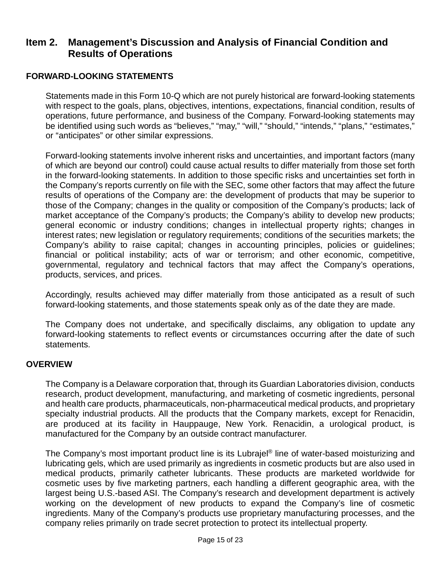### **Item 2. Management's Discussion and Analysis of Financial Condition and Results of Operations**

#### **FORWARD-LOOKING STATEMENTS**

Statements made in this Form 10-Q which are not purely historical are forward-looking statements with respect to the goals, plans, objectives, intentions, expectations, financial condition, results of operations, future performance, and business of the Company. Forward-looking statements may be identified using such words as "believes," "may," "will," "should," "intends," "plans," "estimates," or "anticipates" or other similar expressions.

 Forward-looking statements involve inherent risks and uncertainties, and important factors (many of which are beyond our control) could cause actual results to differ materially from those set forth in the forward-looking statements. In addition to those specific risks and uncertainties set forth in the Company's reports currently on file with the SEC, some other factors that may affect the future results of operations of the Company are: the development of products that may be superior to those of the Company; changes in the quality or composition of the Company's products; lack of market acceptance of the Company's products; the Company's ability to develop new products; general economic or industry conditions; changes in intellectual property rights; changes in interest rates; new legislation or regulatory requirements; conditions of the securities markets; the Company's ability to raise capital; changes in accounting principles, policies or guidelines; financial or political instability; acts of war or terrorism; and other economic, competitive, governmental, regulatory and technical factors that may affect the Company's operations, products, services, and prices.

 Accordingly, results achieved may differ materially from those anticipated as a result of such forward-looking statements, and those statements speak only as of the date they are made.

The Company does not undertake, and specifically disclaims, any obligation to update any forward-looking statements to reflect events or circumstances occurring after the date of such statements.

#### **OVERVIEW**

 The Company is a Delaware corporation that, through its Guardian Laboratories division, conducts research, product development, manufacturing, and marketing of cosmetic ingredients, personal and health care products, pharmaceuticals, non-pharmaceutical medical products, and proprietary specialty industrial products. All the products that the Company markets, except for Renacidin, are produced at its facility in Hauppauge, New York. Renacidin, a urological product, is manufactured for the Company by an outside contract manufacturer.

The Company's most important product line is its Lubrajel® line of water-based moisturizing and lubricating gels, which are used primarily as ingredients in cosmetic products but are also used in medical products, primarily catheter lubricants. These products are marketed worldwide for cosmetic uses by five marketing partners, each handling a different geographic area, with the largest being U.S.-based ASI. The Company's research and development department is actively working on the development of new products to expand the Company's line of cosmetic ingredients. Many of the Company's products use proprietary manufacturing processes, and the company relies primarily on trade secret protection to protect its intellectual property.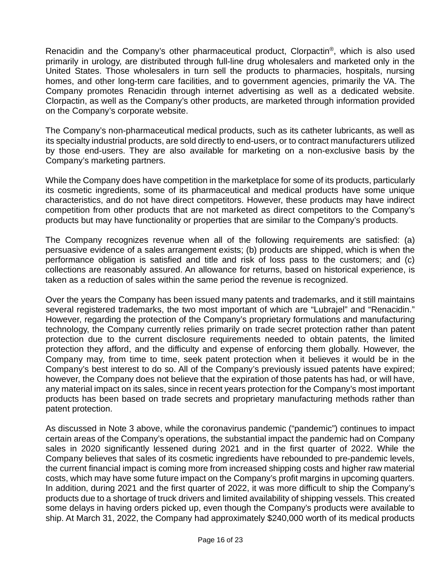Renacidin and the Company's other pharmaceutical product, Clorpactin®, which is also used primarily in urology, are distributed through full-line drug wholesalers and marketed only in the United States. Those wholesalers in turn sell the products to pharmacies, hospitals, nursing homes, and other long-term care facilities, and to government agencies, primarily the VA. The Company promotes Renacidin through internet advertising as well as a dedicated website. Clorpactin, as well as the Company's other products, are marketed through information provided on the Company's corporate website.

The Company's non-pharmaceutical medical products, such as its catheter lubricants, as well as its specialty industrial products, are sold directly to end-users, or to contract manufacturers utilized by those end-users. They are also available for marketing on a non-exclusive basis by the Company's marketing partners.

 While the Company does have competition in the marketplace for some of its products, particularly its cosmetic ingredients, some of its pharmaceutical and medical products have some unique characteristics, and do not have direct competitors. However, these products may have indirect competition from other products that are not marketed as direct competitors to the Company's products but may have functionality or properties that are similar to the Company's products.

The Company recognizes revenue when all of the following requirements are satisfied: (a) persuasive evidence of a sales arrangement exists; (b) products are shipped, which is when the performance obligation is satisfied and title and risk of loss pass to the customers; and (c) collections are reasonably assured. An allowance for returns, based on historical experience, is taken as a reduction of sales within the same period the revenue is recognized.

 Over the years the Company has been issued many patents and trademarks, and it still maintains several registered trademarks, the two most important of which are "Lubrajel" and "Renacidin." However, regarding the protection of the Company's proprietary formulations and manufacturing technology, the Company currently relies primarily on trade secret protection rather than patent protection due to the current disclosure requirements needed to obtain patents, the limited protection they afford, and the difficulty and expense of enforcing them globally. However, the Company may, from time to time, seek patent protection when it believes it would be in the Company's best interest to do so. All of the Company's previously issued patents have expired; however, the Company does not believe that the expiration of those patents has had, or will have, any material impact on its sales, since in recent years protection for the Company's most important products has been based on trade secrets and proprietary manufacturing methods rather than patent protection.

As discussed in Note 3 above, while the coronavirus pandemic ("pandemic") continues to impact certain areas of the Company's operations, the substantial impact the pandemic had on Company sales in 2020 significantly lessened during 2021 and in the first quarter of 2022. While the Company believes that sales of its cosmetic ingredients have rebounded to pre-pandemic levels, the current financial impact is coming more from increased shipping costs and higher raw material costs, which may have some future impact on the Company's profit margins in upcoming quarters. In addition, during 2021 and the first quarter of 2022, it was more difficult to ship the Company's products due to a shortage of truck drivers and limited availability of shipping vessels. This created some delays in having orders picked up, even though the Company's products were available to ship. At March 31, 2022, the Company had approximately \$240,000 worth of its medical products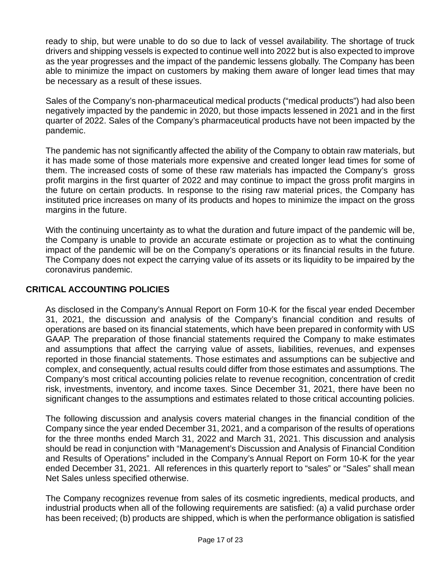ready to ship, but were unable to do so due to lack of vessel availability. The shortage of truck drivers and shipping vessels is expected to continue well into 2022 but is also expected to improve as the year progresses and the impact of the pandemic lessens globally. The Company has been able to minimize the impact on customers by making them aware of longer lead times that may be necessary as a result of these issues.

Sales of the Company's non-pharmaceutical medical products ("medical products") had also been negatively impacted by the pandemic in 2020, but those impacts lessened in 2021 and in the first quarter of 2022. Sales of the Company's pharmaceutical products have not been impacted by the pandemic.

The pandemic has not significantly affected the ability of the Company to obtain raw materials, but it has made some of those materials more expensive and created longer lead times for some of them. The increased costs of some of these raw materials has impacted the Company's gross profit margins in the first quarter of 2022 and may continue to impact the gross profit margins in the future on certain products. In response to the rising raw material prices, the Company has instituted price increases on many of its products and hopes to minimize the impact on the gross margins in the future.

With the continuing uncertainty as to what the duration and future impact of the pandemic will be, the Company is unable to provide an accurate estimate or projection as to what the continuing impact of the pandemic will be on the Company's operations or its financial results in the future. The Company does not expect the carrying value of its assets or its liquidity to be impaired by the coronavirus pandemic.

#### **CRITICAL ACCOUNTING POLICIES**

 As disclosed in the Company's Annual Report on Form 10-K for the fiscal year ended December 31, 2021, the discussion and analysis of the Company's financial condition and results of operations are based on its financial statements, which have been prepared in conformity with US GAAP. The preparation of those financial statements required the Company to make estimates and assumptions that affect the carrying value of assets, liabilities, revenues, and expenses reported in those financial statements. Those estimates and assumptions can be subjective and complex, and consequently, actual results could differ from those estimates and assumptions. The Company's most critical accounting policies relate to revenue recognition, concentration of credit risk, investments, inventory, and income taxes. Since December 31, 2021, there have been no significant changes to the assumptions and estimates related to those critical accounting policies.

 The following discussion and analysis covers material changes in the financial condition of the Company since the year ended December 31, 2021, and a comparison of the results of operations for the three months ended March 31, 2022 and March 31, 2021. This discussion and analysis should be read in conjunction with "Management's Discussion and Analysis of Financial Condition and Results of Operations" included in the Company's Annual Report on Form 10-K for the year ended December 31, 2021. All references in this quarterly report to "sales" or "Sales" shall mean Net Sales unless specified otherwise.

The Company recognizes revenue from sales of its cosmetic ingredients, medical products, and industrial products when all of the following requirements are satisfied: (a) a valid purchase order has been received; (b) products are shipped, which is when the performance obligation is satisfied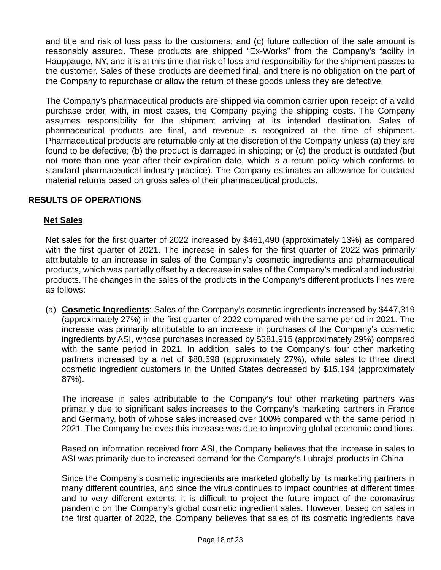and title and risk of loss pass to the customers; and (c) future collection of the sale amount is reasonably assured. These products are shipped "Ex-Works" from the Company's facility in Hauppauge, NY, and it is at this time that risk of loss and responsibility for the shipment passes to the customer. Sales of these products are deemed final, and there is no obligation on the part of the Company to repurchase or allow the return of these goods unless they are defective.

The Company's pharmaceutical products are shipped via common carrier upon receipt of a valid purchase order, with, in most cases, the Company paying the shipping costs. The Company assumes responsibility for the shipment arriving at its intended destination. Sales of pharmaceutical products are final, and revenue is recognized at the time of shipment. Pharmaceutical products are returnable only at the discretion of the Company unless (a) they are found to be defective; (b) the product is damaged in shipping; or (c) the product is outdated (but not more than one year after their expiration date, which is a return policy which conforms to standard pharmaceutical industry practice). The Company estimates an allowance for outdated material returns based on gross sales of their pharmaceutical products.

#### **RESULTS OF OPERATIONS**

#### **Net Sales**

Net sales for the first quarter of 2022 increased by \$461,490 (approximately 13%) as compared with the first quarter of 2021. The increase in sales for the first quarter of 2022 was primarily attributable to an increase in sales of the Company's cosmetic ingredients and pharmaceutical products, which was partially offset by a decrease in sales of the Company's medical and industrial products. The changes in the sales of the products in the Company's different products lines were as follows:

(a) **Cosmetic Ingredients**: Sales of the Company's cosmetic ingredients increased by \$447,319 (approximately 27%) in the first quarter of 2022 compared with the same period in 2021. The increase was primarily attributable to an increase in purchases of the Company's cosmetic ingredients by ASI, whose purchases increased by \$381,915 (approximately 29%) compared with the same period in 2021, In addition, sales to the Company's four other marketing partners increased by a net of \$80,598 (approximately 27%), while sales to three direct cosmetic ingredient customers in the United States decreased by \$15,194 (approximately 87%).

The increase in sales attributable to the Company's four other marketing partners was primarily due to significant sales increases to the Company's marketing partners in France and Germany, both of whose sales increased over 100% compared with the same period in 2021. The Company believes this increase was due to improving global economic conditions.

Based on information received from ASI, the Company believes that the increase in sales to ASI was primarily due to increased demand for the Company's Lubrajel products in China.

Since the Company's cosmetic ingredients are marketed globally by its marketing partners in many different countries, and since the virus continues to impact countries at different times and to very different extents, it is difficult to project the future impact of the coronavirus pandemic on the Company's global cosmetic ingredient sales. However, based on sales in the first quarter of 2022, the Company believes that sales of its cosmetic ingredients have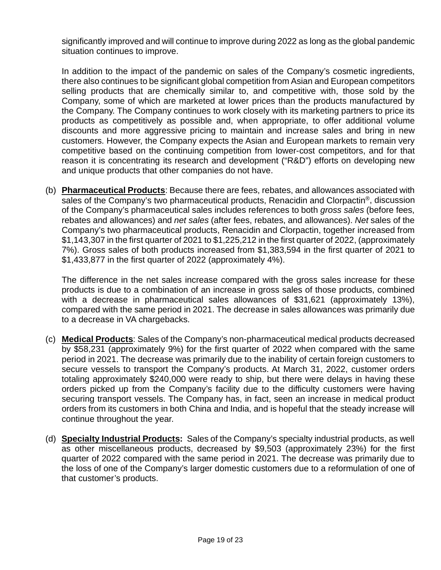significantly improved and will continue to improve during 2022 as long as the global pandemic situation continues to improve.

In addition to the impact of the pandemic on sales of the Company's cosmetic ingredients, there also continues to be significant global competition from Asian and European competitors selling products that are chemically similar to, and competitive with, those sold by the Company, some of which are marketed at lower prices than the products manufactured by the Company. The Company continues to work closely with its marketing partners to price its products as competitively as possible and, when appropriate, to offer additional volume discounts and more aggressive pricing to maintain and increase sales and bring in new customers. However, the Company expects the Asian and European markets to remain very competitive based on the continuing competition from lower-cost competitors, and for that reason it is concentrating its research and development ("R&D") efforts on developing new and unique products that other companies do not have.

(b) **Pharmaceutical Products**: Because there are fees, rebates, and allowances associated with sales of the Company's two pharmaceutical products, Renacidin and Clorpactin®, discussion of the Company's pharmaceutical sales includes references to both *gross sales* (before fees, rebates and allowances) and *net sales* (after fees, rebates, and allowances). *Net* sales of the Company's two pharmaceutical products, Renacidin and Clorpactin, together increased from \$1,143,307 in the first quarter of 2021 to \$1,225,212 in the first quarter of 2022, (approximately 7%). Gross sales of both products increased from \$1,383,594 in the first quarter of 2021 to \$1,433,877 in the first quarter of 2022 (approximately 4%).

The difference in the net sales increase compared with the gross sales increase for these products is due to a combination of an increase in gross sales of those products, combined with a decrease in pharmaceutical sales allowances of \$31,621 (approximately 13%), compared with the same period in 2021. The decrease in sales allowances was primarily due to a decrease in VA chargebacks.

- (c) **Medical Products**: Sales of the Company's non-pharmaceutical medical products decreased by \$58,231 (approximately 9%) for the first quarter of 2022 when compared with the same period in 2021. The decrease was primarily due to the inability of certain foreign customers to secure vessels to transport the Company's products. At March 31, 2022, customer orders totaling approximately \$240,000 were ready to ship, but there were delays in having these orders picked up from the Company's facility due to the difficulty customers were having securing transport vessels. The Company has, in fact, seen an increase in medical product orders from its customers in both China and India, and is hopeful that the steady increase will continue throughout the year.
- (d) **Specialty Industrial Products:** Sales of the Company's specialty industrial products, as well as other miscellaneous products, decreased by \$9,503 (approximately 23%) for the first quarter of 2022 compared with the same period in 2021. The decrease was primarily due to the loss of one of the Company's larger domestic customers due to a reformulation of one of that customer's products.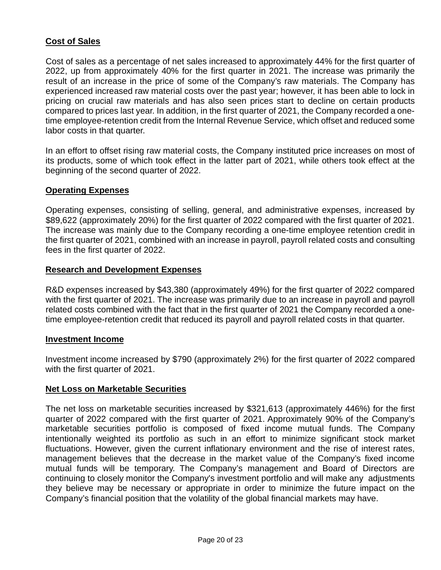#### **Cost of Sales**

Cost of sales as a percentage of net sales increased to approximately 44% for the first quarter of 2022, up from approximately 40% for the first quarter in 2021. The increase was primarily the result of an increase in the price of some of the Company's raw materials. The Company has experienced increased raw material costs over the past year; however, it has been able to lock in pricing on crucial raw materials and has also seen prices start to decline on certain products compared to prices last year. In addition, in the first quarter of 2021, the Company recorded a onetime employee-retention credit from the Internal Revenue Service, which offset and reduced some labor costs in that quarter.

In an effort to offset rising raw material costs, the Company instituted price increases on most of its products, some of which took effect in the latter part of 2021, while others took effect at the beginning of the second quarter of 2022.

#### **Operating Expenses**

Operating expenses, consisting of selling, general, and administrative expenses, increased by \$89,622 (approximately 20%) for the first quarter of 2022 compared with the first quarter of 2021. The increase was mainly due to the Company recording a one-time employee retention credit in the first quarter of 2021, combined with an increase in payroll, payroll related costs and consulting fees in the first quarter of 2022.

#### **Research and Development Expenses**

R&D expenses increased by \$43,380 (approximately 49%) for the first quarter of 2022 compared with the first quarter of 2021. The increase was primarily due to an increase in payroll and payroll related costs combined with the fact that in the first quarter of 2021 the Company recorded a onetime employee-retention credit that reduced its payroll and payroll related costs in that quarter.

#### **Investment Income**

Investment income increased by \$790 (approximately 2%) for the first quarter of 2022 compared with the first quarter of 2021.

#### **Net Loss on Marketable Securities**

The net loss on marketable securities increased by \$321,613 (approximately 446%) for the first quarter of 2022 compared with the first quarter of 2021. Approximately 90% of the Company's marketable securities portfolio is composed of fixed income mutual funds. The Company intentionally weighted its portfolio as such in an effort to minimize significant stock market fluctuations. However, given the current inflationary environment and the rise of interest rates, management believes that the decrease in the market value of the Company's fixed income mutual funds will be temporary. The Company's management and Board of Directors are continuing to closely monitor the Company's investment portfolio and will make any adjustments they believe may be necessary or appropriate in order to minimize the future impact on the Company's financial position that the volatility of the global financial markets may have.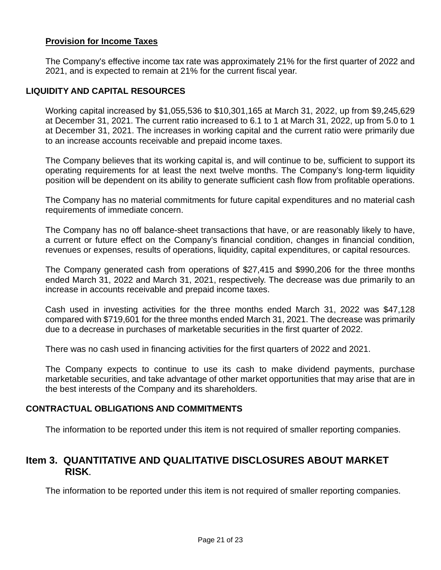#### **Provision for Income Taxes**

The Company's effective income tax rate was approximately 21% for the first quarter of 2022 and 2021, and is expected to remain at 21% for the current fiscal year.

#### **LIQUIDITY AND CAPITAL RESOURCES**

 Working capital increased by \$1,055,536 to \$10,301,165 at March 31, 2022, up from \$9,245,629 at December 31, 2021. The current ratio increased to 6.1 to 1 at March 31, 2022, up from 5.0 to 1 at December 31, 2021. The increases in working capital and the current ratio were primarily due to an increase accounts receivable and prepaid income taxes.

The Company believes that its working capital is, and will continue to be, sufficient to support its operating requirements for at least the next twelve months. The Company's long-term liquidity position will be dependent on its ability to generate sufficient cash flow from profitable operations.

The Company has no material commitments for future capital expenditures and no material cash requirements of immediate concern.

The Company has no off balance-sheet transactions that have, or are reasonably likely to have, a current or future effect on the Company's financial condition, changes in financial condition, revenues or expenses, results of operations, liquidity, capital expenditures, or capital resources.

 The Company generated cash from operations of \$27,415 and \$990,206 for the three months ended March 31, 2022 and March 31, 2021, respectively. The decrease was due primarily to an increase in accounts receivable and prepaid income taxes.

 Cash used in investing activities for the three months ended March 31, 2022 was \$47,128 compared with \$719,601 for the three months ended March 31, 2021. The decrease was primarily due to a decrease in purchases of marketable securities in the first quarter of 2022.

There was no cash used in financing activities for the first quarters of 2022 and 2021.

The Company expects to continue to use its cash to make dividend payments, purchase marketable securities, and take advantage of other market opportunities that may arise that are in the best interests of the Company and its shareholders.

#### **CONTRACTUAL OBLIGATIONS AND COMMITMENTS**

The information to be reported under this item is not required of smaller reporting companies.

### **Item 3. QUANTITATIVE AND QUALITATIVE DISCLOSURES ABOUT MARKET RISK.**

The information to be reported under this item is not required of smaller reporting companies.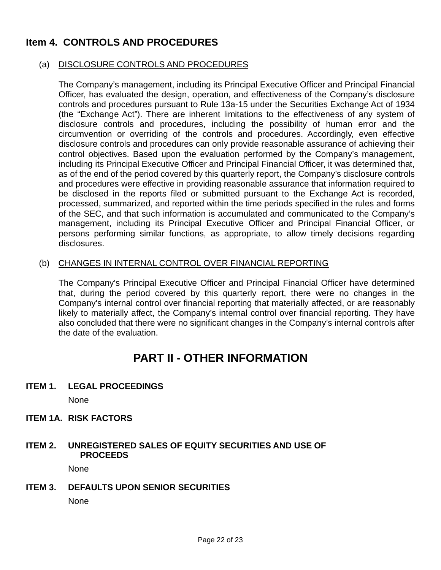## **Item 4. CONTROLS AND PROCEDURES**

#### (a) DISCLOSURE CONTROLS AND PROCEDURES

The Company's management, including its Principal Executive Officer and Principal Financial Officer, has evaluated the design, operation, and effectiveness of the Company's disclosure controls and procedures pursuant to Rule 13a-15 under the Securities Exchange Act of 1934 (the "Exchange Act"). There are inherent limitations to the effectiveness of any system of disclosure controls and procedures, including the possibility of human error and the circumvention or overriding of the controls and procedures. Accordingly, even effective disclosure controls and procedures can only provide reasonable assurance of achieving their control objectives. Based upon the evaluation performed by the Company's management, including its Principal Executive Officer and Principal Financial Officer, it was determined that, as of the end of the period covered by this quarterly report, the Company's disclosure controls and procedures were effective in providing reasonable assurance that information required to be disclosed in the reports filed or submitted pursuant to the Exchange Act is recorded, processed, summarized, and reported within the time periods specified in the rules and forms of the SEC, and that such information is accumulated and communicated to the Company's management, including its Principal Executive Officer and Principal Financial Officer, or persons performing similar functions, as appropriate, to allow timely decisions regarding disclosures.

#### (b) CHANGES IN INTERNAL CONTROL OVER FINANCIAL REPORTING

The Company's Principal Executive Officer and Principal Financial Officer have determined that, during the period covered by this quarterly report, there were no changes in the Company's internal control over financial reporting that materially affected, or are reasonably likely to materially affect, the Company's internal control over financial reporting. They have also concluded that there were no significant changes in the Company's internal controls after the date of the evaluation.

## **PART II - OTHER INFORMATION**

**ITEM 1. LEGAL PROCEEDINGS**

None

**ITEM 1A. RISK FACTORS**

#### **ITEM 2. UNREGISTERED SALES OF EQUITY SECURITIES AND USE OF PROCEEDS**

None

**ITEM 3. DEFAULTS UPON SENIOR SECURITIES**

None